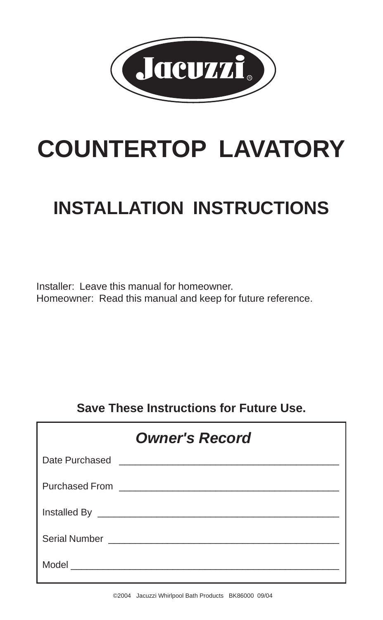

# **COUNTERTOP LAVATORY**

# **INSTALLATION INSTRUCTIONS**

Installer: Leave this manual for homeowner. Homeowner: Read this manual and keep for future reference.

#### **Save These Instructions for Future Use.**

| <b>Owner's Record</b> |  |  |  |
|-----------------------|--|--|--|
|                       |  |  |  |
|                       |  |  |  |
|                       |  |  |  |
|                       |  |  |  |
|                       |  |  |  |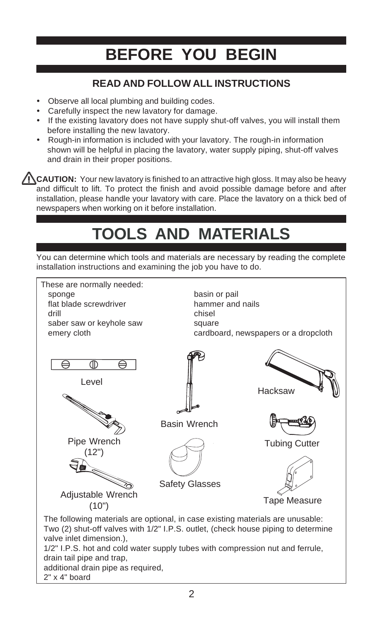### **BEFORE YOU BEGIN**

#### **READ AND FOLLOW ALL INSTRUCTIONS**

- . Observe all local plumbing and building codes.
- ! Carefully inspect the new lavatory for damage.
- ! If the existing lavatory does not have supply shut-off valves, you will install them before installing the new lavatory.
- ! Rough-in information is included with your lavatory. The rough-in information shown will be helpful in placing the lavatory, water supply piping, shut-off valves and drain in their proper positions.

**CAUTION:** Your new lavatory is finished to an attractive high gloss. It may also be heavy and difficult to lift. To protect the finish and avoid possible damage before and after installation, please handle your lavatory with care. Place the lavatory on a thick bed of newspapers when working on it before installation.

# **TOOLS AND MATERIALS**

You can determine which tools and materials are necessary by reading the complete installation instructions and examining the job you have to do.

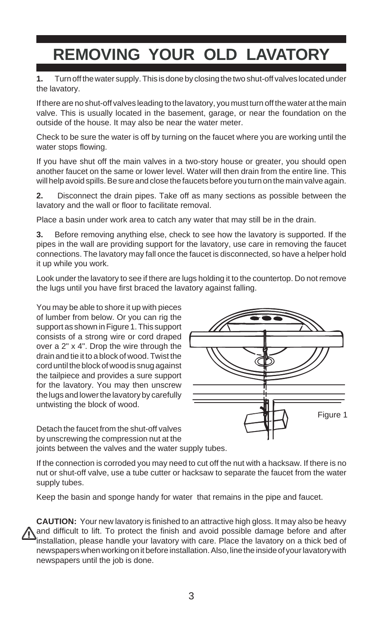## **REMOVING YOUR OLD LAVATORY**

**1.** Turn off the water supply. This is done by closing the two shut-off valves located under the lavatory.

If there are no shut-off valves leading to the lavatory, you must turn off the water at the main valve. This is usually located in the basement, garage, or near the foundation on the outside of the house. It may also be near the water meter.

Check to be sure the water is off by turning on the faucet where you are working until the water stops flowing.

If you have shut off the main valves in a two-story house or greater, you should open another faucet on the same or lower level. Water will then drain from the entire line. This will help avoid spills. Be sure and close the faucets before you turn on the main valve again.

**2.** Disconnect the drain pipes. Take off as many sections as possible between the lavatory and the wall or floor to facilitate removal.

Place a basin under work area to catch any water that may still be in the drain.

**3.** Before removing anything else, check to see how the lavatory is supported. If the pipes in the wall are providing support for the lavatory, use care in removing the faucet connections. The lavatory may fall once the faucet is disconnected, so have a helper hold it up while you work.

Look under the lavatory to see if there are lugs holding it to the countertop. Do not remove the lugs until you have first braced the lavatory against falling.

You may be able to shore it up with pieces of lumber from below. Or you can rig the support as shown in Figure 1. This support consists of a strong wire or cord draped over a 2" x 4". Drop the wire through the drain and tie it to a block of wood. Twist the cord until the block of wood is snug against the tailpiece and provides a sure support for the lavatory. You may then unscrew the lugs and lower the lavatory by carefully untwisting the block of wood.

Detach the faucet from the shut-off valves by unscrewing the compression nut at the joints between the valves and the water supply tubes.



Figure 1

Keep the basin and sponge handy for water that remains in the pipe and faucet.

**CAUTION:** Your new lavatory is finished to an attractive high gloss. It may also be heavy and difficult to lift. To protect the finish and avoid possible damage before and after installation, please handle your lavatory with care. Place the lavatory on a thick bed of newspapers when working on it before installation. Also, line the inside of your lavatory with newspapers until the job is done.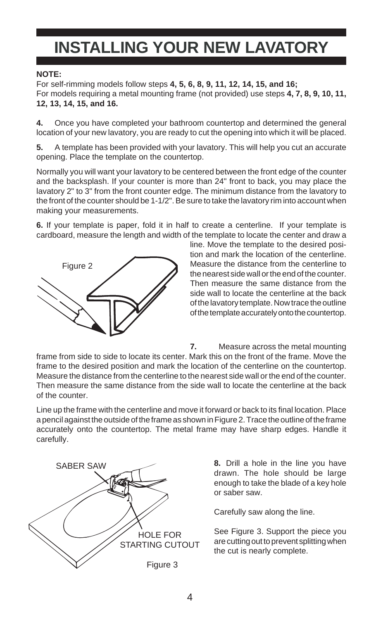#### **INSTALLING YOUR NEW LAVATORY**

#### **NOTE:**

For self-rimming models follow steps **4, 5, 6, 8, 9, 11, 12, 14, 15, and 16;** For models requiring a metal mounting frame (not provided) use steps **4, 7, 8, 9, 10, 11, 12, 13, 14, 15, and 16.**

**4.** Once you have completed your bathroom countertop and determined the general location of your new lavatory, you are ready to cut the opening into which it will be placed.

**5.** A template has been provided with your lavatory. This will help you cut an accurate opening. Place the template on the countertop.

Normally you will want your lavatory to be centered between the front edge of the counter and the backsplash. If your counter is more than 24" front to back, you may place the lavatory 2" to 3" from the front counter edge. The minimum distance from the lavatory to the front of the counter should be 1-1/2". Be sure to take the lavatory rim into account when making your measurements.

**6.** If your template is paper, fold it in half to create a centerline. If your template is cardboard, measure the length and width of the template to locate the center and draw a



line. Move the template to the desired position and mark the location of the centerline. Measure the distance from the centerline to the nearest side wall or the end of the counter. Then measure the same distance from the side wall to locate the centerline at the back of the lavatory template. Now trace the outline of the template accurately onto the countertop.

**7.** Measure across the metal mounting frame from side to side to locate its center. Mark this on the front of the frame. Move the frame to the desired position and mark the location of the centerline on the countertop. Measure the distance from the centerline to the nearest side wall or the end of the counter. Then measure the same distance from the side wall to locate the centerline at the back of the counter.

Line up the frame with the centerline and move it forward or back to its final location. Place a pencil against the outside of the frame as shown in Figure 2. Trace the outline of the frame accurately onto the countertop. The metal frame may have sharp edges. Handle it carefully.



**8.** Drill a hole in the line you have drawn. The hole should be large enough to take the blade of a key hole or saber saw.

Carefully saw along the line.

See Figure 3. Support the piece you are cutting out to prevent splitting when the cut is nearly complete.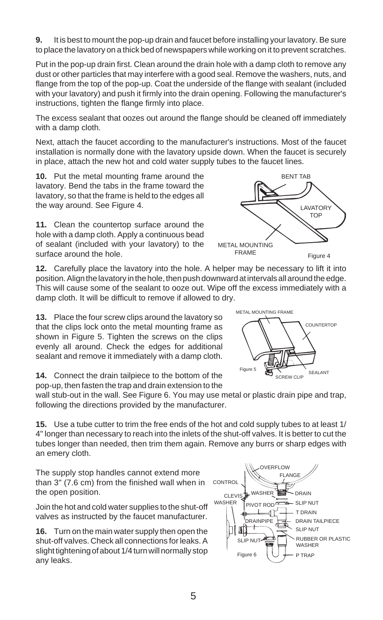**9.** It is best to mount the pop-up drain and faucet before installing your lavatory. Be sure to place the lavatory on a thick bed of newspapers while working on it to prevent scratches.

Put in the pop-up drain first. Clean around the drain hole with a damp cloth to remove any dust or other particles that may interfere with a good seal. Remove the washers, nuts, and flange from the top of the pop-up. Coat the underside of the flange with sealant (included with your lavatory) and push it firmly into the drain opening. Following the manufacturer's instructions, tighten the flange firmly into place.

The excess sealant that oozes out around the flange should be cleaned off immediately with a damp cloth.

Next, attach the faucet according to the manufacturer's instructions. Most of the faucet installation is normally done with the lavatory upside down. When the faucet is securely in place, attach the new hot and cold water supply tubes to the faucet lines.

**10.** Put the metal mounting frame around the lavatory. Bend the tabs in the frame toward the lavatory, so that the frame is held to the edges all the way around. See Figure 4.

**11.** Clean the countertop surface around the hole with a damp cloth. Apply a continuous bead of sealant (included with your lavatory) to the surface around the hole.

**12.** Carefully place the lavatory into the hole. A helper may be necessary to lift it into position. Align the lavatory in the hole, then push downward at intervals all around the edge. This will cause some of the sealant to ooze out. Wipe off the excess immediately with a damp cloth. It will be difficult to remove if allowed to dry.

**13.** Place the four screw clips around the lavatory so that the clips lock onto the metal mounting frame as shown in Figure 5. Tighten the screws on the clips evenly all around. Check the edges for additional sealant and remove it immediately with a damp cloth.

**14.** Connect the drain tailpiece to the bottom of the pop-up, then fasten the trap and drain extension to the

wall stub-out in the wall. See Figure 6. You may use metal or plastic drain pipe and trap, following the directions provided by the manufacturer.

**15.** Use a tube cutter to trim the free ends of the hot and cold supply tubes to at least 1/ 4" longer than necessary to reach into the inlets of the shut-off valves. It is better to cut the tubes longer than needed, then trim them again. Remove any burrs or sharp edges with an emery cloth.

The supply stop handles cannot extend more than 3" (7.6 cm) from the finished wall when in the open position.

Join the hot and cold water supplies to the shut-off valves as instructed by the faucet manufacturer.

**16.** Turn on the main water supply then open the shut-off valves. Check all connections for leaks. A slight tightening of about 1/4 turn will normally stop any leaks.





SCREW CLIP

Figure 4

SEALANT

**AVATORY** TOP

BENT TAB



Figure 5

METAL MOUNTING FRAME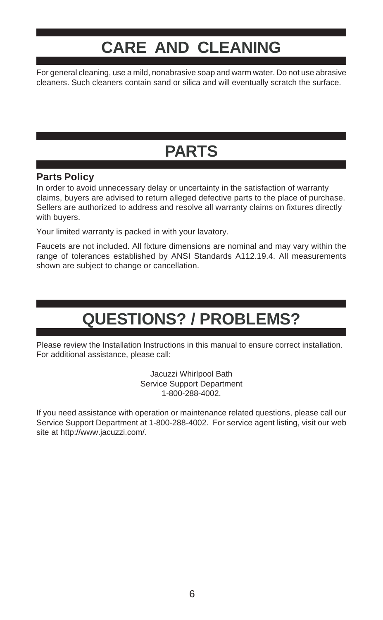### **CARE AND CLEANING**

For general cleaning, use a mild, nonabrasive soap and warm water. Do not use abrasive cleaners. Such cleaners contain sand or silica and will eventually scratch the surface.

# **PARTS**

#### **Parts Policy**

In order to avoid unnecessary delay or uncertainty in the satisfaction of warranty claims, buyers are advised to return alleged defective parts to the place of purchase. Sellers are authorized to address and resolve all warranty claims on fixtures directly with buyers.

Your limited warranty is packed in with your lavatory.

Faucets are not included. All fixture dimensions are nominal and may vary within the range of tolerances established by ANSI Standards A112.19.4. All measurements shown are subject to change or cancellation.

### **QUESTIONS? / PROBLEMS?**

Please review the Installation Instructions in this manual to ensure correct installation. For additional assistance, please call:

> Jacuzzi Whirlpool Bath Service Support Department 1-800-288-4002.

If you need assistance with operation or maintenance related questions, please call our Service Support Department at 1-800-288-4002. For service agent listing, visit our web site at http://www.jacuzzi.com/.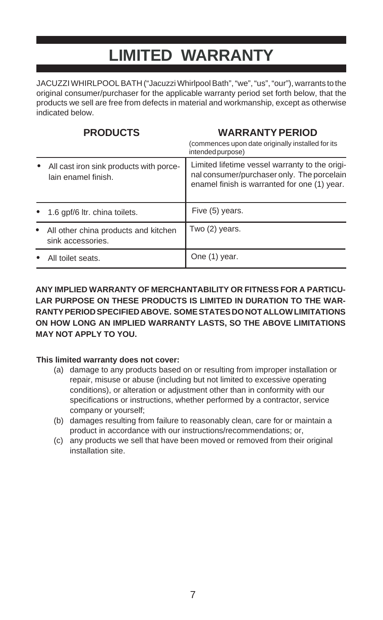#### **LIMITED WARRANTY**

JACUZZI WHIRLPOOL BATH ("Jacuzzi Whirlpool Bath", "we", "us", "our"), warrants to the original consumer/purchaser for the applicable warranty period set forth below, that the products we sell are free from defects in material and workmanship, except as otherwise indicated below.

#### **PRODUCTS**

#### **WARRANTY PERIOD**

|                                                                | (commences upon date originally installed for its<br>intended purpose)                                                                       |
|----------------------------------------------------------------|----------------------------------------------------------------------------------------------------------------------------------------------|
| All cast iron sink products with porce-<br>lain enamel finish. | Limited lifetime vessel warranty to the origi-<br>nal consumer/purchaser only. The porcelain<br>enamel finish is warranted for one (1) year. |
| 1.6 gpf/6 ltr. china toilets.                                  | Five (5) years.                                                                                                                              |
| All other china products and kitchen<br>sink accessories.      | Two (2) years.                                                                                                                               |
| All toilet seats.                                              | One (1) year.                                                                                                                                |

#### **ANY IMPLIED WARRANTY OF MERCHANTABILITY OR FITNESS FOR A PARTICU-LAR PURPOSE ON THESE PRODUCTS IS LIMITED IN DURATION TO THE WAR-RANTY PERIOD SPECIFIED ABOVE. SOME STATES DO NOT ALLOW LIMITATIONS ON HOW LONG AN IMPLIED WARRANTY LASTS, SO THE ABOVE LIMITATIONS MAY NOT APPLY TO YOU.**

#### **This limited warranty does not cover:**

- (a) damage to any products based on or resulting from improper installation or repair, misuse or abuse (including but not limited to excessive operating conditions), or alteration or adjustment other than in conformity with our specifications or instructions, whether performed by a contractor, service company or yourself;
- (b) damages resulting from failure to reasonably clean, care for or maintain a product in accordance with our instructions/recommendations; or,
- (c) any products we sell that have been moved or removed from their original installation site.